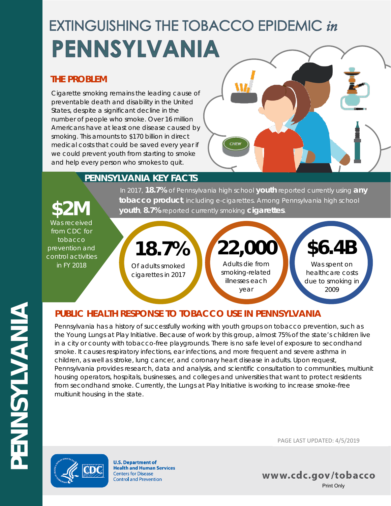# **EXTINGUISHING THE TOBACCO EPIDEMIC in** PENNSYLVANIA

## **THE PROBLEM**

Cigarette smoking remains the leading cause of preventable death and disability in the United States, despite a significant decline in the number of people who smoke. Over 16 million Americans have at least one disease caused by smoking. This amounts to \$170 billion in direct medical costs that could be saved every year if we could prevent youth from starting to smoke and help every person who smokes to quit.



## **PENNSYLVANIA KEY FACTS**

In 2017, **18.7%** of Pennsylvania high school **youth** reported currently using **any fobacco product**, including e-cigarettes. Among Pennsylvania high school **\$2M** vouth, 8.7% reported currently smoking **cigarettes**.

Was received from CDC for tobacco prevention and control activities in FY 2018



## **PUBLIC HEALTH RESPONSE TO TOBACCO USE IN PENNSYLVANIA**

Pennsylvania has a history of successfully working with youth groups on tobacco prevention, such as the Young Lungs at Play Initiative. Because of work by this group, almost 75% of the state's children live in a city or county with tobacco-free playgrounds. There is no safe level of exposure to secondhand smoke. It causes respiratory infections, ear infections, and more frequent and severe asthma in children, as well as stroke, lung cancer, and coronary heart disease in adults. Upon request, Pennsylvania provides research, data and analysis, and scientific consultation to communities, multiunit housing operators, hospitals, businesses, and colleges and universities that want to protect residents from secondhand smoke. Currently, the Lungs at Play Initiative is working to increase smoke-free multiunit housing in the state.



**U.S. Department of Health and Human Services Centers for Disease Control and Prevention** 

PAGE LAST UPDATED: 4/5/2019

www.cdc.gov/tobacco Print Only